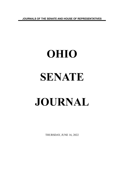**JOURNALS OF THE SENATE AND HOUSE OF REPRESENTATIVES**

# **OHIO SENATE JOURNAL**

THURSDAY, JUNE 16, 2022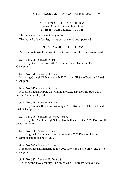# ONE HUNDRED FIFTY-NINTH DAY Senate Chamber, Columbus, Ohio **Thursday, June 16, 2022, 9:30 a.m.**

The Senate met pursuant to adjournment.

The journal of the last legislative day was read and approved.

## **OFFERING OF RESOLUTIONS**

Pursuant to Senate Rule No. 54, the following resolutions were offered:

# **S. R. No. 375** - Senator Dolan.

Honoring Katie Clute as a 2022 Division I State Track and Field Champion.

## **S. R. No. 376** - Senator O'Brien.

Honoring Caleigh Richards as a 2022 Division III State Track and Field Champion.

#### **S. R. No. 377** - Senator O'Brien.

Honoring Megan Hipple on winning the 2022 Division III State 3200 meter Championship title.

#### **S. R. No. 378** - Senator O'Brien.

Honoring Connor Boland on winning a 2022 Division I State Track and Field Championship.

#### **S. R. No. 379** - Senators O'Brien, Cirino.

Honoring the Chardon High School baseball team as the 2022 Division II State Champion.

#### **S. R. No. 380** - Senator Kunze.

Honoring Jack De Francesco on winning the 2022 Division I State Championship in the pole vault.

#### **S. R. No. 381** - Senator Martin.

Honoring Morgan Monesmith as a 2022 Division I State Track and Field Champion.

#### **S. R. No. 382** - Senator Huffman, S.

Honoring the Troy Country Club on its One Hundredth Anniversary.